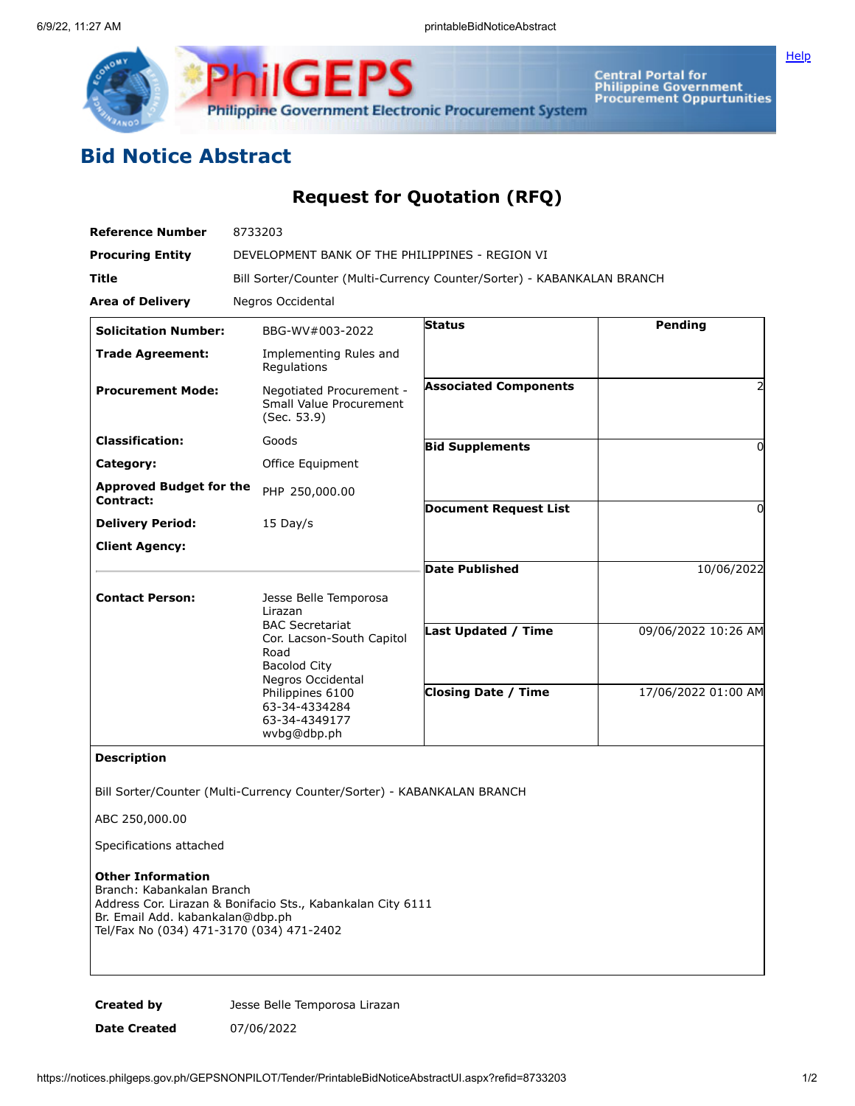



**Central Portal for<br>Philippine Government<br>Procurement Oppurtunities** 

## **Bid Notice Abstract**

## **Request for Quotation (RFQ)**

| <b>Reference Number</b>                                                                                                               | 8733203                                                                                                                |                              |                     |
|---------------------------------------------------------------------------------------------------------------------------------------|------------------------------------------------------------------------------------------------------------------------|------------------------------|---------------------|
| <b>Procuring Entity</b>                                                                                                               | DEVELOPMENT BANK OF THE PHILIPPINES - REGION VI                                                                        |                              |                     |
| Title                                                                                                                                 | Bill Sorter/Counter (Multi-Currency Counter/Sorter) - KABANKALAN BRANCH                                                |                              |                     |
| <b>Area of Delivery</b>                                                                                                               | Negros Occidental                                                                                                      |                              |                     |
| <b>Solicitation Number:</b>                                                                                                           | BBG-WV#003-2022                                                                                                        | <b>Status</b>                | Pending             |
| <b>Trade Agreement:</b>                                                                                                               | Implementing Rules and<br>Regulations                                                                                  |                              |                     |
| <b>Procurement Mode:</b>                                                                                                              | Negotiated Procurement -<br>Small Value Procurement<br>(Sec. 53.9)                                                     | <b>Associated Components</b> |                     |
| <b>Classification:</b>                                                                                                                | Goods                                                                                                                  | <b>Bid Supplements</b>       | 0                   |
| Category:                                                                                                                             | Office Equipment                                                                                                       |                              |                     |
| <b>Approved Budget for the</b><br>Contract:                                                                                           | PHP 250,000.00                                                                                                         |                              |                     |
| <b>Delivery Period:</b>                                                                                                               | $15$ Day/s                                                                                                             | <b>Document Request List</b> | 0                   |
| <b>Client Agency:</b>                                                                                                                 |                                                                                                                        |                              |                     |
|                                                                                                                                       |                                                                                                                        | <b>Date Published</b>        | 10/06/2022          |
| <b>Contact Person:</b>                                                                                                                | Jesse Belle Temporosa<br>Lirazan<br><b>BAC Secretariat</b><br>Cor. Lacson-South Capitol<br>Road<br><b>Bacolod City</b> | Last Updated / Time          | 09/06/2022 10:26 AM |
|                                                                                                                                       | Negros Occidental<br>Philippines 6100<br>63-34-4334284<br>63-34-4349177<br>wvbg@dbp.ph                                 | <b>Closing Date / Time</b>   | 17/06/2022 01:00 AM |
| <b>Description</b>                                                                                                                    |                                                                                                                        |                              |                     |
|                                                                                                                                       | Bill Sorter/Counter (Multi-Currency Counter/Sorter) - KABANKALAN BRANCH                                                |                              |                     |
| ABC 250,000.00                                                                                                                        |                                                                                                                        |                              |                     |
| Specifications attached                                                                                                               |                                                                                                                        |                              |                     |
| <b>Other Information</b><br>Branch: Kabankalan Branch<br>Br. Email Add. kabankalan@dbp.ph<br>Tel/Fax No (034) 471-3170 (034) 471-2402 | Address Cor. Lirazan & Bonifacio Sts., Kabankalan City 6111                                                            |                              |                     |

**Created by** Jesse Belle Temporosa Lirazan **Date Created** 07/06/2022